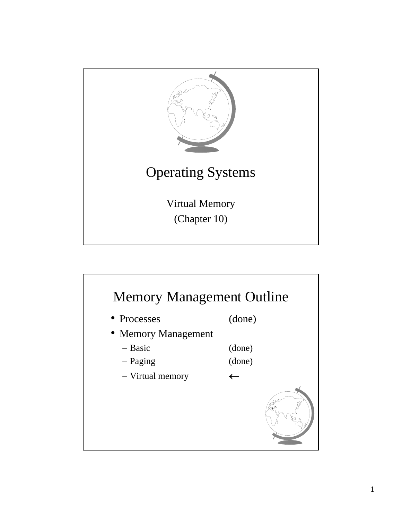

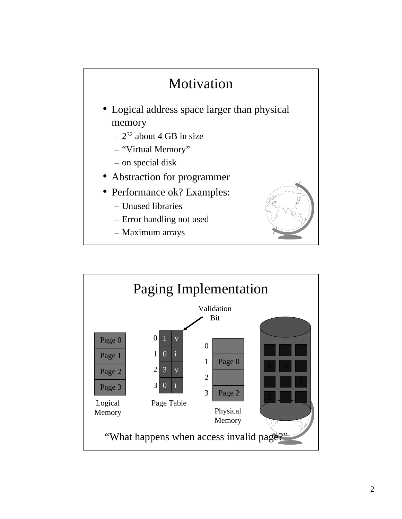

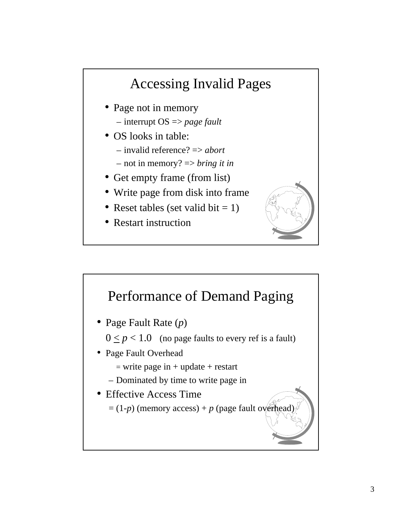## Accessing Invalid Pages

- Page not in memory
	- interrupt OS => *page fault*
- OS looks in table:
	- invalid reference? => *abort*
	- not in memory? => *bring it in*
- Get empty frame (from list)
- Write page from disk into frame
- Reset tables (set valid bit  $= 1$ )
- Restart instruction



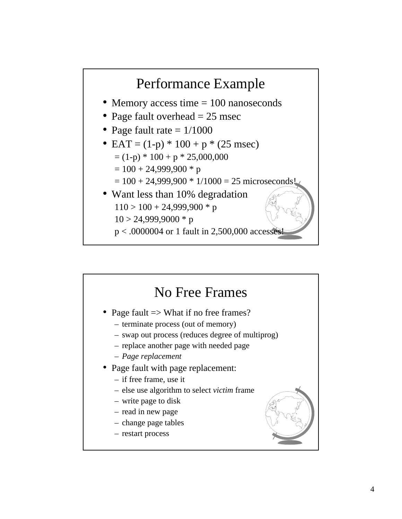

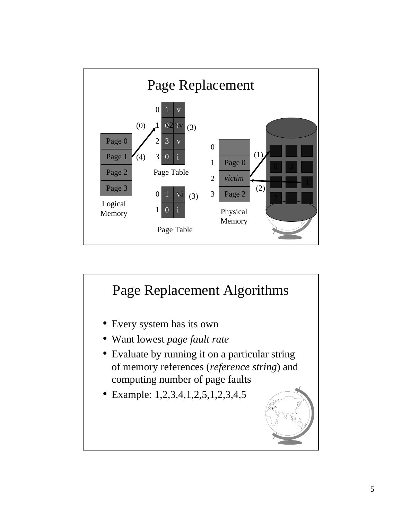

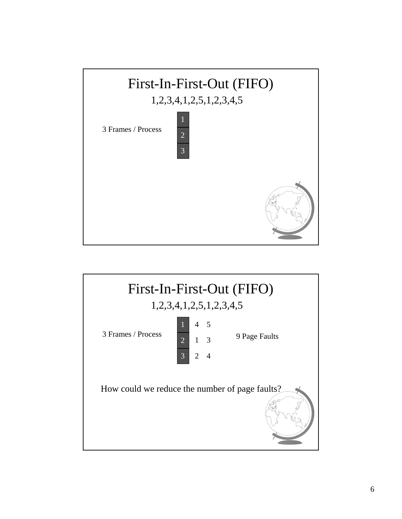

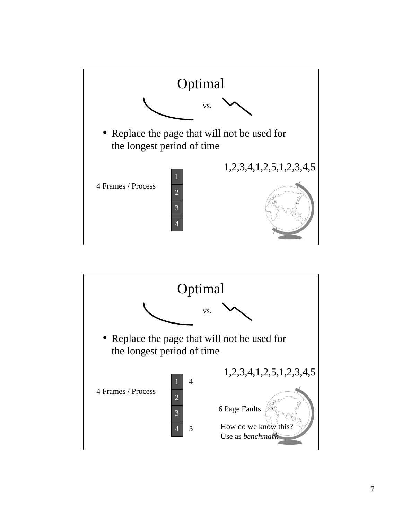

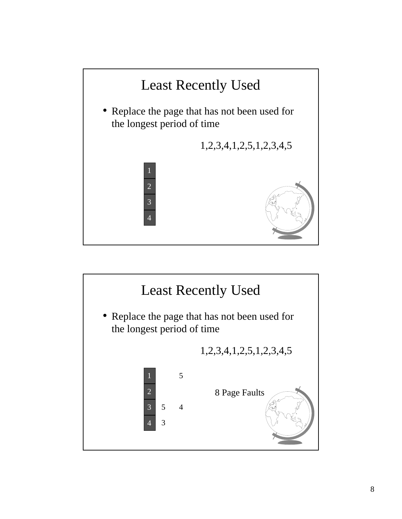

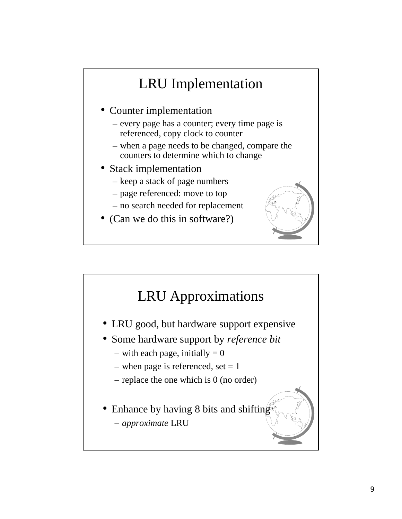# LRU Implementation

- Counter implementation
	- every page has a counter; every time page is referenced, copy clock to counter
	- when a page needs to be changed, compare the counters to determine which to change
- Stack implementation
	- keep a stack of page numbers
	- page referenced: move to top
	- no search needed for replacement
- (Can we do this in software?)



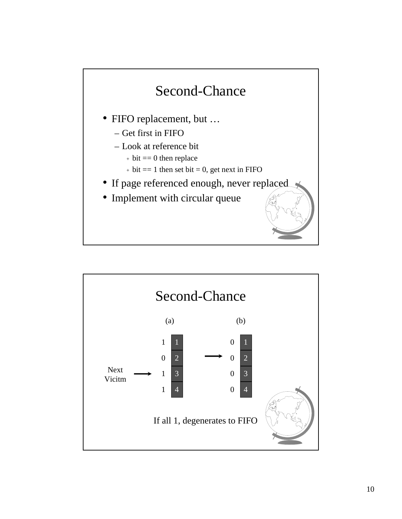

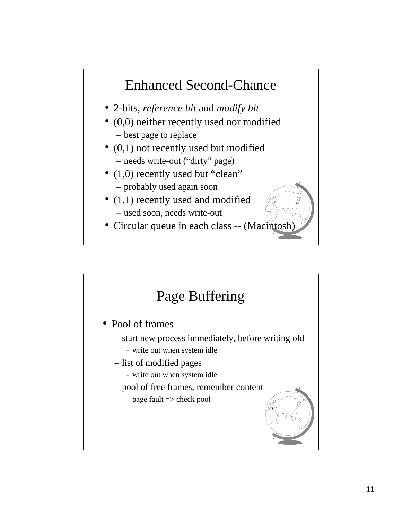# Enhanced Second-Chance

- 2-bits, *reference bit* and *modify bit*
- (0,0) neither recently used nor modified – best page to replace
- (0,1) not recently used but modified – needs write-out ("dirty" page)
- (1,0) recently used but "clean" – probably used again soon
- (1,1) recently used and modified
	- used soon, needs write-out
- Circular queue in each class -- (Macint

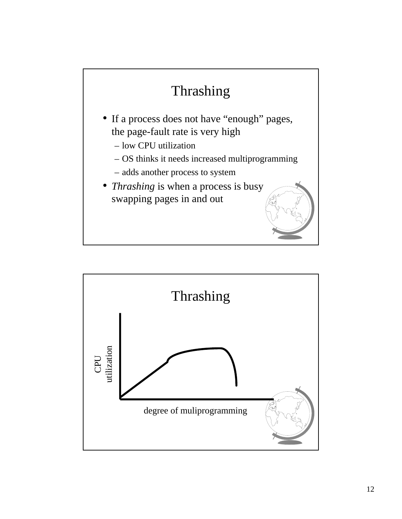

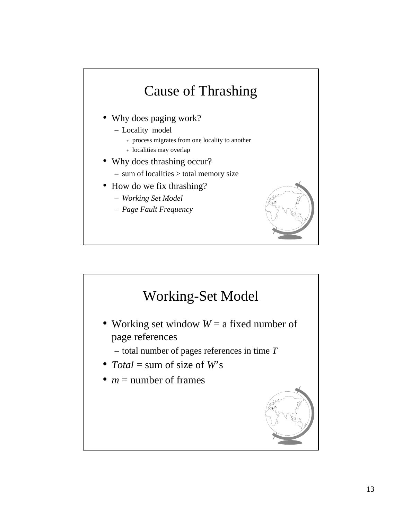# Cause of Thrashing

- Why does paging work?
	- Locality model
		- <sup>+</sup> process migrates from one locality to another
		- <sup>+</sup> localities may overlap
- Why does thrashing occur?
	- sum of localities > total memory size
- How do we fix thrashing?
	- *Working Set Model*
	- *Page Fault Frequency*



# Working-Set Model • Working set window *W* = a fixed number of page references – total number of pages references in time *T* • *Total* = sum of size of *W*'s •  $m =$  number of frames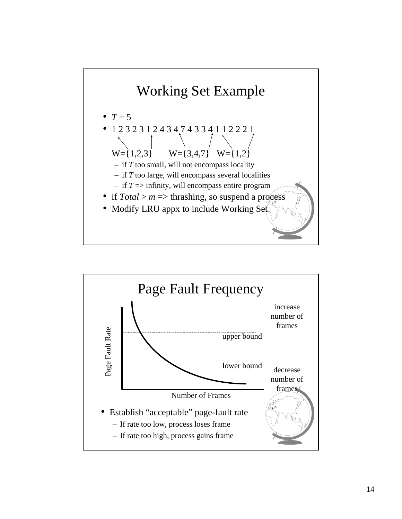

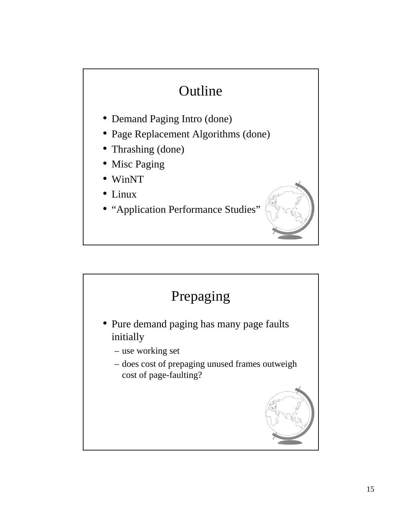# Outline

- Demand Paging Intro (done)
- Page Replacement Algorithms (done)
- Thrashing (done)
- Misc Paging
- WinNT
- Linux
- "Application Performance Studies"

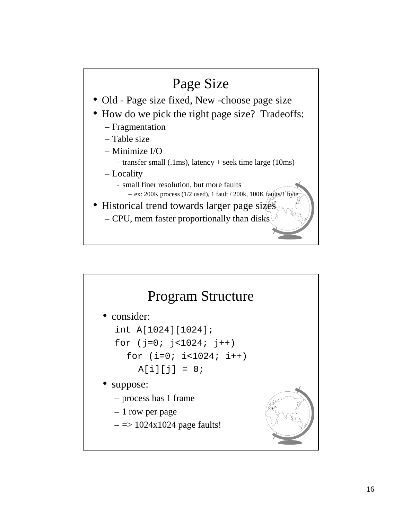

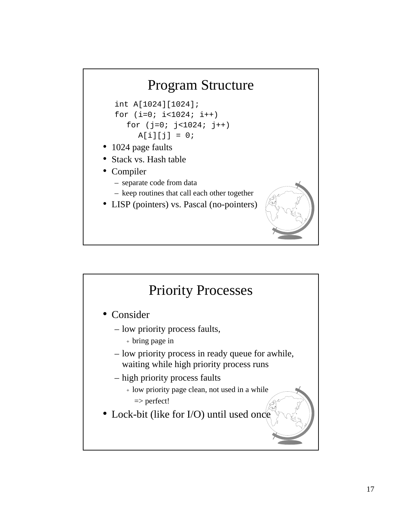#### Program Structure

int A[1024][1024]; for  $(i=0; i<1024; i++)$ for  $(j=0; j<1024; j++)$  $A[i][j] = 0;$ 

- 1024 page faults
- Stack vs. Hash table
- Compiler
	- separate code from data
	- keep routines that call each other together
- LISP (pointers) vs. Pascal (no-pointers)

#### Priority Processes

- Consider
	- low priority process faults,
		- <sup>+</sup> bring page in
	- low priority process in ready queue for awhile, waiting while high priority process runs
	- high priority process faults
		- <sup>+</sup> low priority page clean, not used in a while => perfect!
- Lock-bit (like for I/O) until used once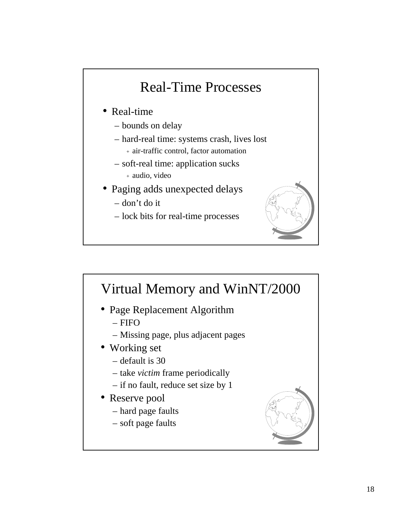# Real-Time Processes

- Real-time
	- bounds on delay
	- hard-real time: systems crash, lives lost
		- <sup>+</sup> air-traffic control, factor automation
	- soft-real time: application sucks
		- <sup>+</sup> audio, video
- Paging adds unexpected delays
	- don't do it
	- lock bits for real-time processes



#### Virtual Memory and WinNT/2000

- Page Replacement Algorithm
	- FIFO
	- Missing page, plus adjacent pages
- Working set
	- default is 30
	- take *victim* frame periodically
	- if no fault, reduce set size by 1
- Reserve pool
	- hard page faults
	- soft page faults

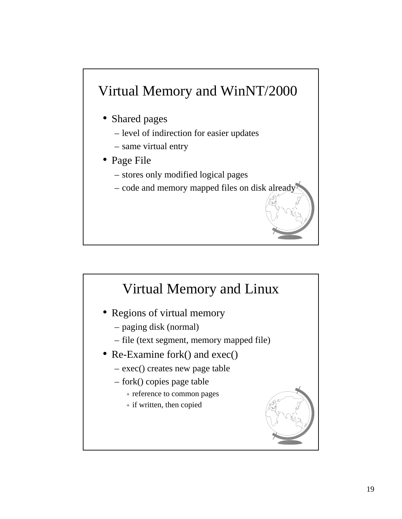# Virtual Memory and WinNT/2000

- Shared pages
	- level of indirection for easier updates
	- same virtual entry
- Page File
	- stores only modified logical pages
	- code and memory mapped files on disk already

#### Virtual Memory and Linux

- Regions of virtual memory
	- paging disk (normal)
	- file (text segment, memory mapped file)
- Re-Examine fork() and exec()
	- exec() creates new page table
	- fork() copies page table
		- + reference to common pages
		- + if written, then copied

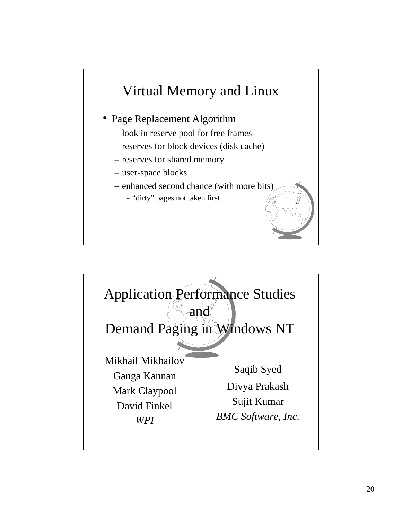# Virtual Memory and Linux

- Page Replacement Algorithm
	- look in reserve pool for free frames
	- reserves for block devices (disk cache)
	- reserves for shared memory
	- user-space blocks
	- enhanced second chance (with more bits)
		- + "dirty" pages not taken first

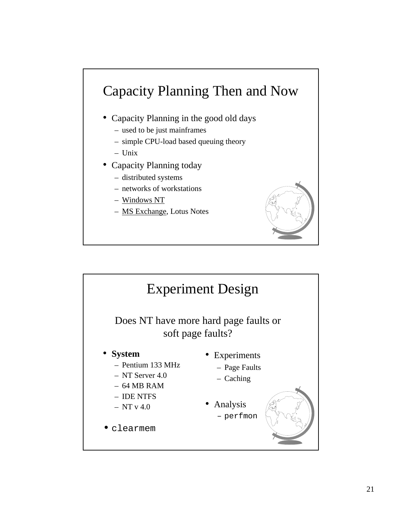# Capacity Planning Then and Now

- Capacity Planning in the good old days
	- used to be just mainframes
	- simple CPU-load based queuing theory
	- Unix
- Capacity Planning today
	- distributed systems
	- networks of workstations
	- Windows NT
	- MS Exchange, Lotus Notes

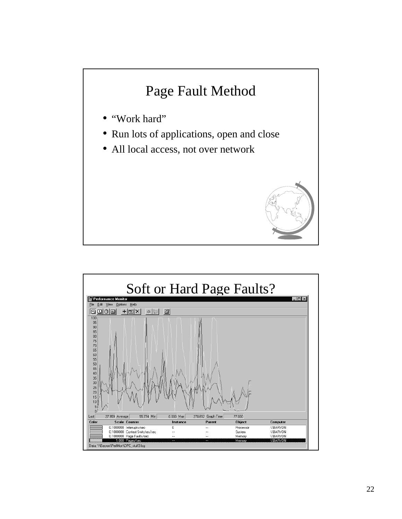